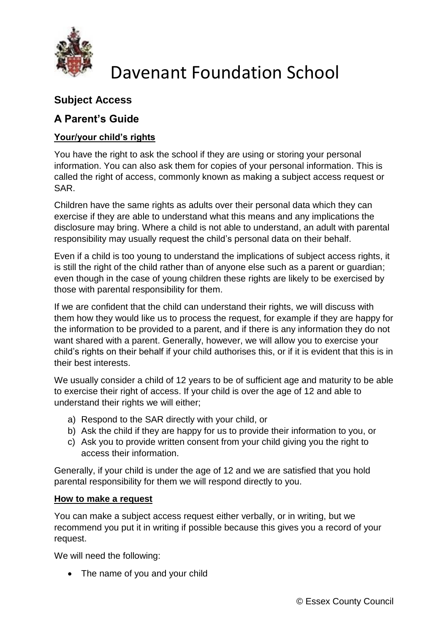

# Davenant Foundation School

## **Subject Access**

### **A Parent's Guide**

### **Your/your child's rights**

You have the right to ask the school if they are using or storing your personal information. You can also ask them for copies of your personal information. This is called the right of access, commonly known as making a subject access request or SAR.

Children have the same rights as adults over their personal data which they can exercise if they are able to understand what this means and any implications the disclosure may bring. Where a child is not able to understand, an adult with parental responsibility may usually request the child's personal data on their behalf.

Even if a child is too young to understand the implications of subject access rights, it is still the right of the child rather than of anyone else such as a parent or guardian; even though in the case of young children these rights are likely to be exercised by those with parental responsibility for them.

If we are confident that the child can understand their rights, we will discuss with them how they would like us to process the request, for example if they are happy for the information to be provided to a parent, and if there is any information they do not want shared with a parent. Generally, however, we will allow you to exercise your child's rights on their behalf if your child authorises this, or if it is evident that this is in their best interests.

We usually consider a child of 12 years to be of sufficient age and maturity to be able to exercise their right of access. If your child is over the age of 12 and able to understand their rights we will either;

- a) Respond to the SAR directly with your child, or
- b) Ask the child if they are happy for us to provide their information to you, or
- c) Ask you to provide written consent from your child giving you the right to access their information.

Generally, if your child is under the age of 12 and we are satisfied that you hold parental responsibility for them we will respond directly to you.

#### **How to make a request**

You can make a subject access request either verbally, or in writing, but we recommend you put it in writing if possible because this gives you a record of your request.

We will need the following:

• The name of you and your child